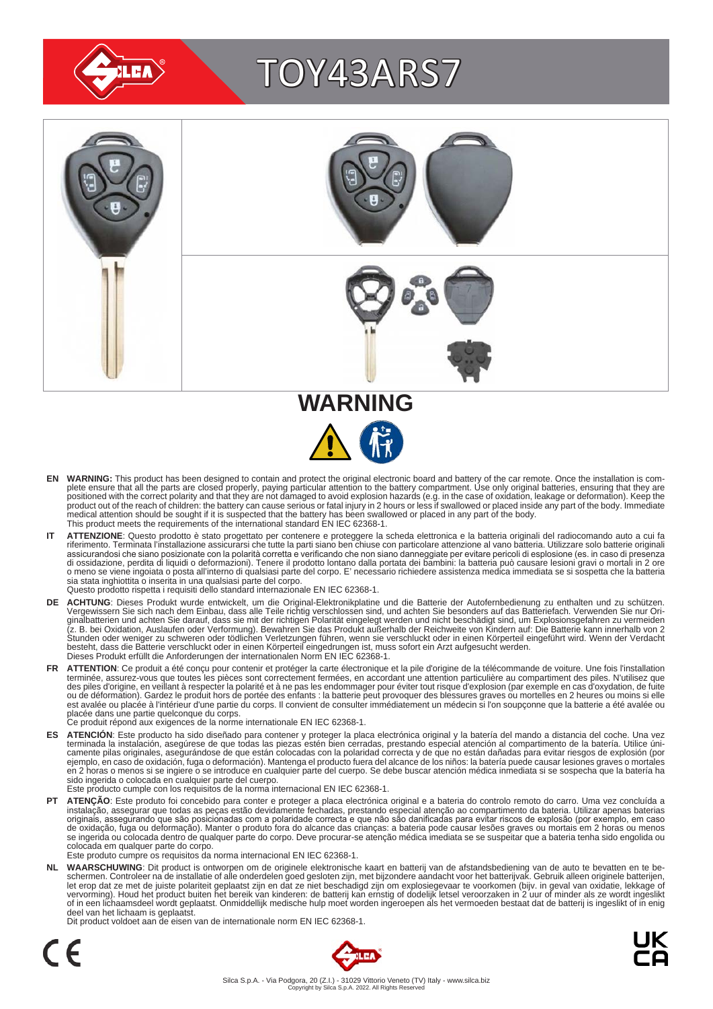

# TOY43ARS7





- EN WARNING: This product has been designed to contain and protect the original electronic board and battery of the car remote. Once the installation is com-<br>plete ensure that all the parts are closed properly, paying parti positioned with the correct polarity and that they are not damaged to avoid explosion hazards (e.g. in the case of oxidation, leakage or deformation). Keep the<br>product out of the reach of children: the battery can cause se medical attention should be sought if it is suspected that the battery has been swallowed or placed in any part of the body. This product meets the requirements of the international standard EN IEC 62368-1.
- IT ATTENZIONE: Questo prodotto è stato progettato per contenere e proteggere la scheda elettronica e la batteria originali del radiocomando auto a cui fa<br>riferimento. Terminata l'installazione assicurarsi che tutte la part assicurandosi che siano posizionate con la polarità corretta e verificando che non siano danneggiate per evitare pericoli di esplosione (es. in caso di presenza<br>di ossidazione, perdita di liquidi o deformazioni). Tenere il sia stata inghiottita o inserita in una qualsiasi parte del corpo. Questo prodotto rispetta i requisiti dello standard internazionale EN IEC 62368-1.
- **DE ACHTUNG**: Dieses Produkt wurde entwickelt, um die Original-Elektronikplatine und die Batterie der Autofernbedienung zu enthalten und zu schützen.<br>Vergewissern Sie sich nach dem Einbau, dass alle Teile richtig verschlos besteht, dass die Batterie verschluckt oder in einen Körperteil eingedrungen ist, muss sofort ein Arzt aufgesucht werden.<br>Dieses Produkt erfüllt die Anforderungen der internationalen Norm EN IEC 62368-1.
- FR ATTENTION: Ce produit a été conçu pour contenir et protéger la carte électronique et la pile d'origine de la télécommande de voiture. Une fois l'installation terminée, assurez-vous que toutes les pièces sont correctement fermées, en accordant une attention particulière au compartiment des piles. N'utilisez que<br>des piles d'origine, en veillant à respecter la polarité et à ne pas est avalée ou placée à l'intérieur d'une partie du corps. Il convient de consulter immédiatement un médecin si l'on soupçonne que la batterie a été avalée ou<br>placée dans une partie quelconque du corps.<br>Ce produit répond au
	-
- ES ATENCION: Este producto ha sido diseñado para contener y proteger la placa electrónica original y la batería del mando a distancia del coche. Una vez<br>-terminada la instalación, asegúrese de que todas las piezas estén bi camente pilas originales, asegurándose de que están colocadas con la polaridad correcta y de que no están dañadas para evitar riesgos de explosión (por<br>ejemplo, en caso de oxidación, fuga o deformación). Mantenga el produc sido ingerida o colocada en cualquier parte del cuerpo.
- Este producto cumple con los requisitos de la norma internacional EN IEC 62368-1.
- **PT ATENÇAO**: Este produto foi concebido para conter e proteger a placa electrónica original e a bateria do controlo remoto do carro. Uma vez concluída a instalação, assegurar que todas as peças estão devidamente fechadas, colocada em qualquer parte do corpo. Este produto cumpre os requisitos da norma internacional EN IEC 62368-1.

NL WAARSCHUWING: Dit product is ontworpen om de originele elektronische kaart en batterij van de afstandsbediening van de auto te bevatten en te be-<br>schermen. Controleer na de installatie of alle onderdelen goed gesloten z of in een lichaamsdeel wordt geplaatst. Onmiddellijk medische hulp moet worden ingeroepen als het vermoeden bestaat dat de batterij is ingeslikt of in enig deel van het lichaam is geplaatst.

Dit product voldoet aan de eisen van de internationale norm EN IEC 62368-1.